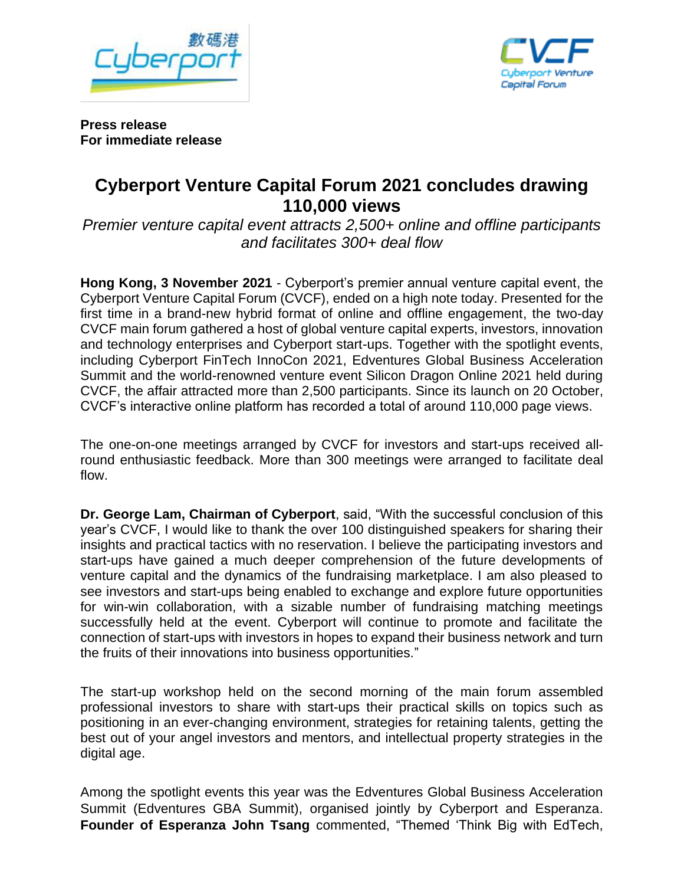



**Press release For immediate release**

## **Cyberport Venture Capital Forum 2021 concludes drawing 110,000 views**

*Premier venture capital event attracts 2,500+ online and offline participants and facilitates 300+ deal flow*

**Hong Kong, 3 November 2021** - Cyberport's premier annual venture capital event, the Cyberport Venture Capital Forum (CVCF), ended on a high note today. Presented for the first time in a brand-new hybrid format of online and offline engagement, the two-day CVCF main forum gathered a host of global venture capital experts, investors, innovation and technology enterprises and Cyberport start-ups. Together with the spotlight events, including Cyberport FinTech InnoCon 2021, Edventures Global Business Acceleration Summit and the world-renowned venture event Silicon Dragon Online 2021 held during CVCF, the affair attracted more than 2,500 participants. Since its launch on 20 October, CVCF's interactive online platform has recorded a total of around 110,000 page views.

The one-on-one meetings arranged by CVCF for investors and start-ups received allround enthusiastic feedback. More than 300 meetings were arranged to facilitate deal flow.

**Dr. George Lam, Chairman of Cyberport**, said, "With the successful conclusion of this year's CVCF, I would like to thank the over 100 distinguished speakers for sharing their insights and practical tactics with no reservation. I believe the participating investors and start-ups have gained a much deeper comprehension of the future developments of venture capital and the dynamics of the fundraising marketplace. I am also pleased to see investors and start-ups being enabled to exchange and explore future opportunities for win-win collaboration, with a sizable number of fundraising matching meetings successfully held at the event. Cyberport will continue to promote and facilitate the connection of start-ups with investors in hopes to expand their business network and turn the fruits of their innovations into business opportunities."

The start-up workshop held on the second morning of the main forum assembled professional investors to share with start-ups their practical skills on topics such as positioning in an ever-changing environment, strategies for retaining talents, getting the best out of your angel investors and mentors, and intellectual property strategies in the digital age.

Among the spotlight events this year was the Edventures Global Business Acceleration Summit (Edventures GBA Summit), organised jointly by Cyberport and Esperanza. **Founder of Esperanza John Tsang** commented, "Themed 'Think Big with EdTech,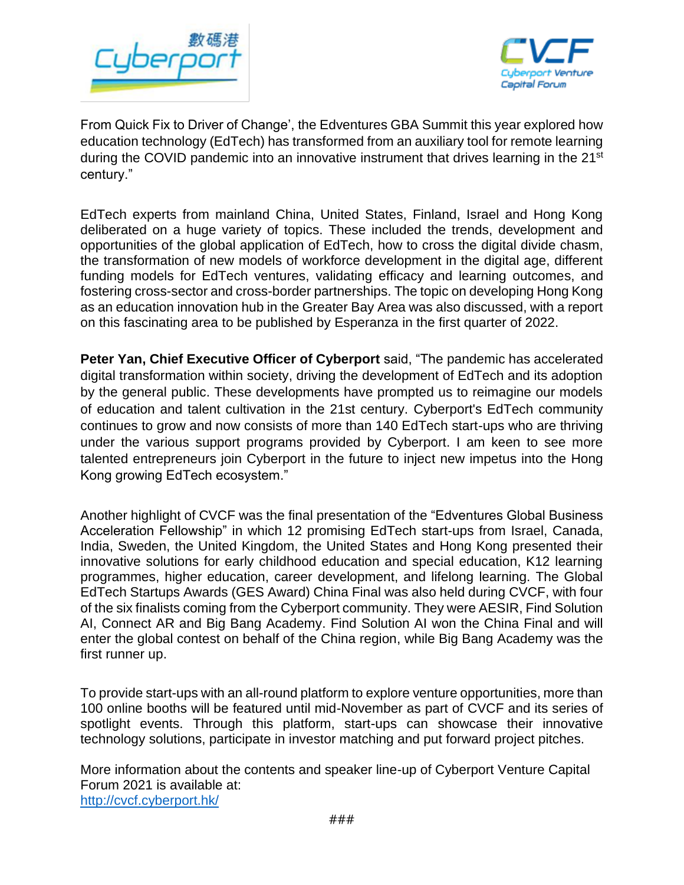



From Quick Fix to Driver of Change', the Edventures GBA Summit this year explored how education technology (EdTech) has transformed from an auxiliary tool for remote learning during the COVID pandemic into an innovative instrument that drives learning in the 21<sup>st</sup> century."

EdTech experts from mainland China, United States, Finland, Israel and Hong Kong deliberated on a huge variety of topics. These included the trends, development and opportunities of the global application of EdTech, how to cross the digital divide chasm, the transformation of new models of workforce development in the digital age, different funding models for EdTech ventures, validating efficacy and learning outcomes, and fostering cross-sector and cross-border partnerships. The topic on developing Hong Kong as an education innovation hub in the Greater Bay Area was also discussed, with a report on this fascinating area to be published by Esperanza in the first quarter of 2022.

**Peter Yan, Chief Executive Officer of Cyberport** said, "The pandemic has accelerated digital transformation within society, driving the development of EdTech and its adoption by the general public. These developments have prompted us to reimagine our models of education and talent cultivation in the 21st century. Cyberport's EdTech community continues to grow and now consists of more than 140 EdTech start-ups who are thriving under the various support programs provided by Cyberport. I am keen to see more talented entrepreneurs join Cyberport in the future to inject new impetus into the Hong Kong growing EdTech ecosystem."

Another highlight of CVCF was the final presentation of the "Edventures Global Business Acceleration Fellowship" in which 12 promising EdTech start-ups from Israel, Canada, India, Sweden, the United Kingdom, the United States and Hong Kong presented their innovative solutions for early childhood education and special education, K12 learning programmes, higher education, career development, and lifelong learning. The Global EdTech Startups Awards (GES Award) China Final was also held during CVCF, with four of the six finalists coming from the Cyberport community. They were AESIR, Find Solution AI, Connect AR and Big Bang Academy. Find Solution AI won the China Final and will enter the global contest on behalf of the China region, while Big Bang Academy was the first runner up.

To provide start-ups with an all-round platform to explore venture opportunities, more than 100 online booths will be featured until mid-November as part of CVCF and its series of spotlight events. Through this platform, start-ups can showcase their innovative technology solutions, participate in investor matching and put forward project pitches.

More information about the contents and speaker line-up of Cyberport Venture Capital Forum 2021 is available at: <http://cvcf.cyberport.hk/>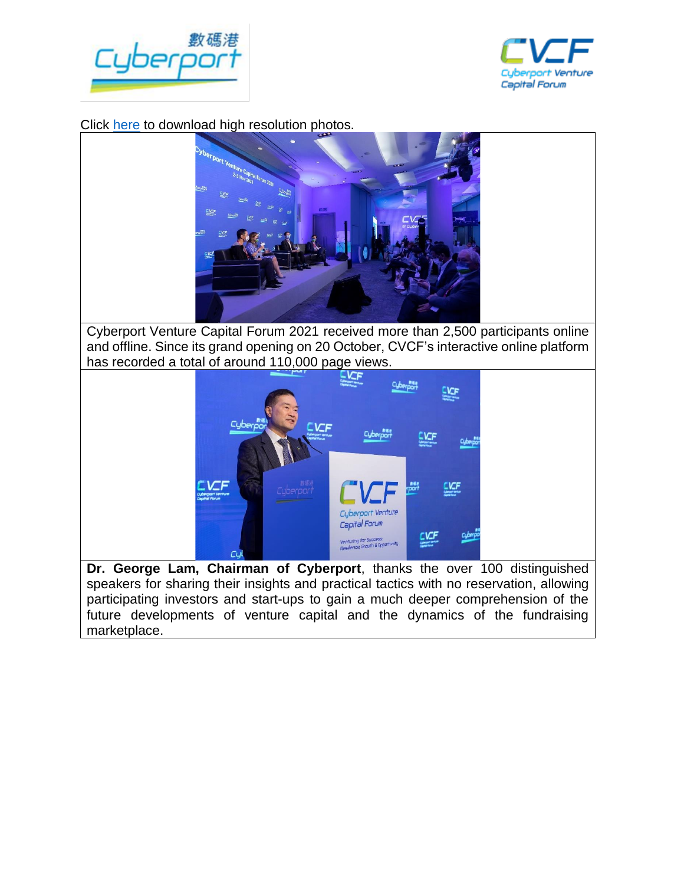



Click [here](https://drive.google.com/drive/folders/1CwDs78qmFdZ9vE7SL2ndBgTsy6w1t0qm?usp=sharing) to download high resolution photos.



Cyberport Venture Capital Forum 2021 received more than 2,500 participants online and offline. Since its grand opening on 20 October, CVCF's interactive online platform has recorded a total of around 110,000 page views.



**Dr. George Lam, Chairman of Cyberport**, thanks the over 100 distinguished speakers for sharing their insights and practical tactics with no reservation, allowing participating investors and start-ups to gain a much deeper comprehension of the future developments of venture capital and the dynamics of the fundraising marketplace.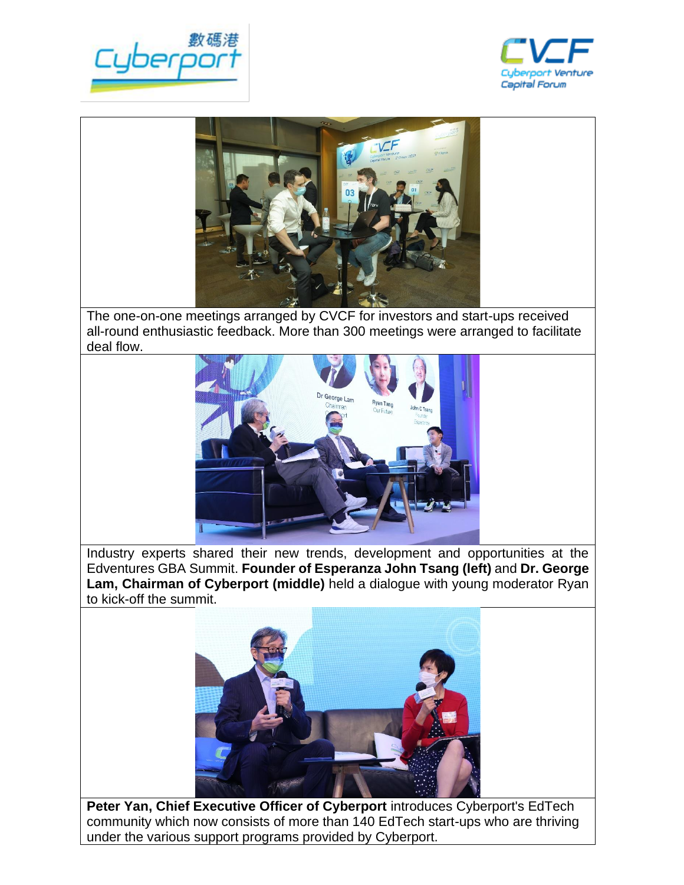





The one-on-one meetings arranged by CVCF for investors and start-ups received all-round enthusiastic feedback. More than 300 meetings were arranged to facilitate deal flow.



Industry experts shared their new trends, development and opportunities at the Edventures GBA Summit. **Founder of Esperanza John Tsang (left)** and **Dr. George Lam, Chairman of Cyberport (middle)** held a dialogue with young moderator Ryan to kick-off the summit.



**Peter Yan, Chief Executive Officer of Cyberport** introduces Cyberport's EdTech community which now consists of more than 140 EdTech start-ups who are thriving under the various support programs provided by Cyberport.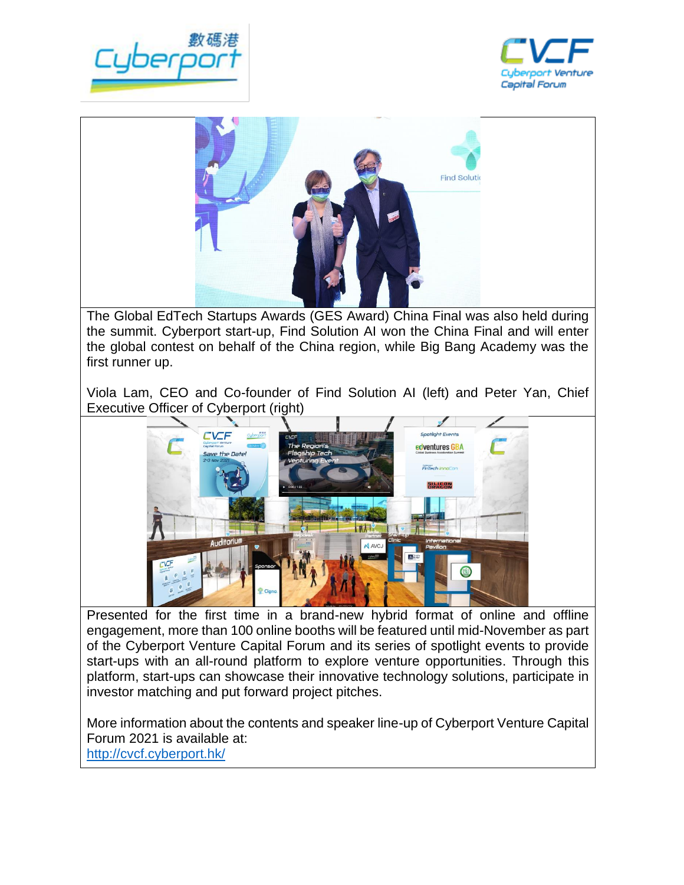





The Global EdTech Startups Awards (GES Award) China Final was also held during the summit. Cyberport start-up, Find Solution AI won the China Final and will enter the global contest on behalf of the China region, while Big Bang Academy was the first runner up.

Viola Lam, CEO and Co-founder of Find Solution AI (left) and Peter Yan, Chief Executive Officer of Cyberport (right)



Presented for the first time in a brand-new hybrid format of online and offline engagement, more than 100 online booths will be featured until mid-November as part of the Cyberport Venture Capital Forum and its series of spotlight events to provide start-ups with an all-round platform to explore venture opportunities. Through this platform, start-ups can showcase their innovative technology solutions, participate in investor matching and put forward project pitches.

More information about the contents and speaker line-up of Cyberport Venture Capital Forum 2021 is available at: <http://cvcf.cyberport.hk/>